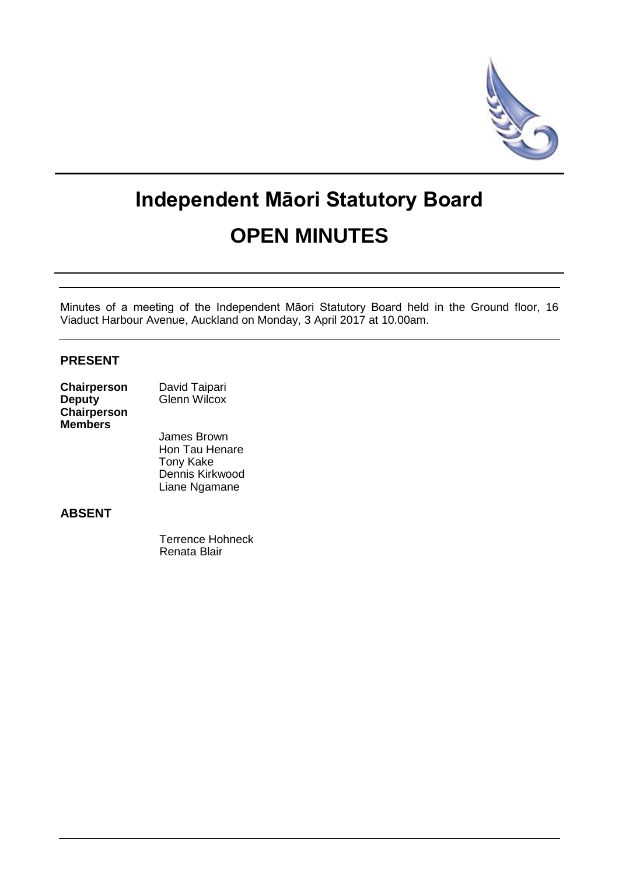

# **Independent Māori Statutory Board OPEN MINUTES**

Minutes of a meeting of the Independent Māori Statutory Board held in the Ground floor, 16 Viaduct Harbour Avenue, Auckland on Monday, 3 April 2017 at 10.00am.

## **PRESENT**

| Chairperson    | David Taipari |
|----------------|---------------|
| <b>Deputy</b>  | Glenn Wilcox  |
| Chairperson    |               |
| <b>Members</b> |               |

James Brown Hon Tau Henare Tony Kake Dennis Kirkwood Liane Ngamane

## **ABSENT**

Terrence Hohneck Renata Blair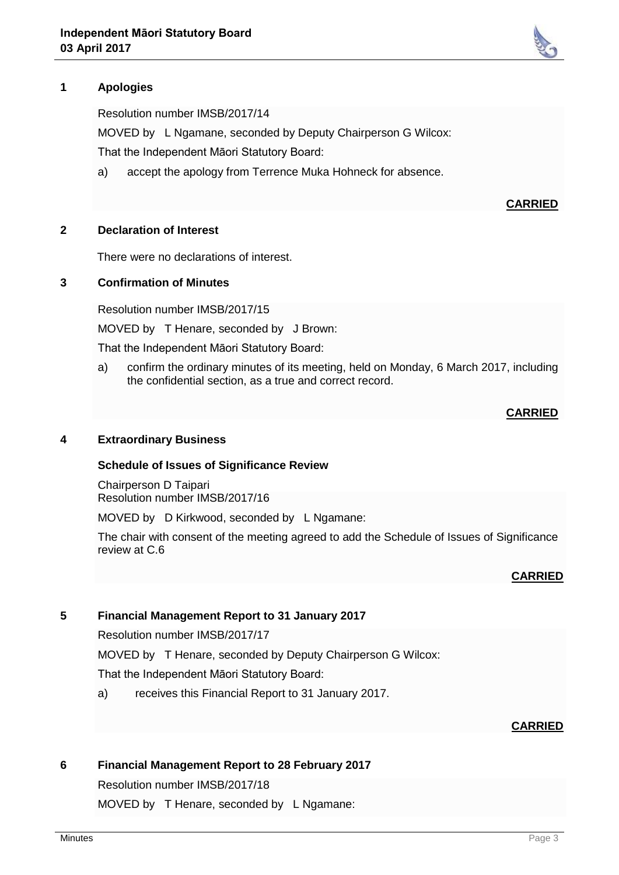# **1 Apologies**

Resolution number IMSB/2017/14

MOVED by L Ngamane, seconded by Deputy Chairperson G Wilcox:

That the Independent Māori Statutory Board:

a) accept the apology from Terrence Muka Hohneck for absence.

#### **CARRIED**

#### **2 Declaration of Interest**

There were no declarations of interest.

## **3 Confirmation of Minutes**

Resolution number IMSB/2017/15

MOVED by T Henare, seconded by J Brown:

That the Independent Māori Statutory Board:

a) confirm the ordinary minutes of its meeting, held on Monday, 6 March 2017, including the confidential section, as a true and correct record.

#### **CARRIED**

## **4 Extraordinary Business**

#### **Schedule of Issues of Significance Review**

Chairperson D Taipari Resolution number IMSB/2017/16

MOVED by D Kirkwood, seconded by L Ngamane:

The chair with consent of the meeting agreed to add the Schedule of Issues of Significance review at C.6

#### **CARRIED**

#### **5 Financial Management Report to 31 January 2017**

Resolution number IMSB/2017/17

MOVED by T Henare, seconded by Deputy Chairperson G Wilcox:

That the Independent Māori Statutory Board:

a) receives this Financial Report to 31 January 2017.

#### **CARRIED**

#### **6 Financial Management Report to 28 February 2017**

Resolution number IMSB/2017/18

MOVED by T Henare, seconded by L Ngamane: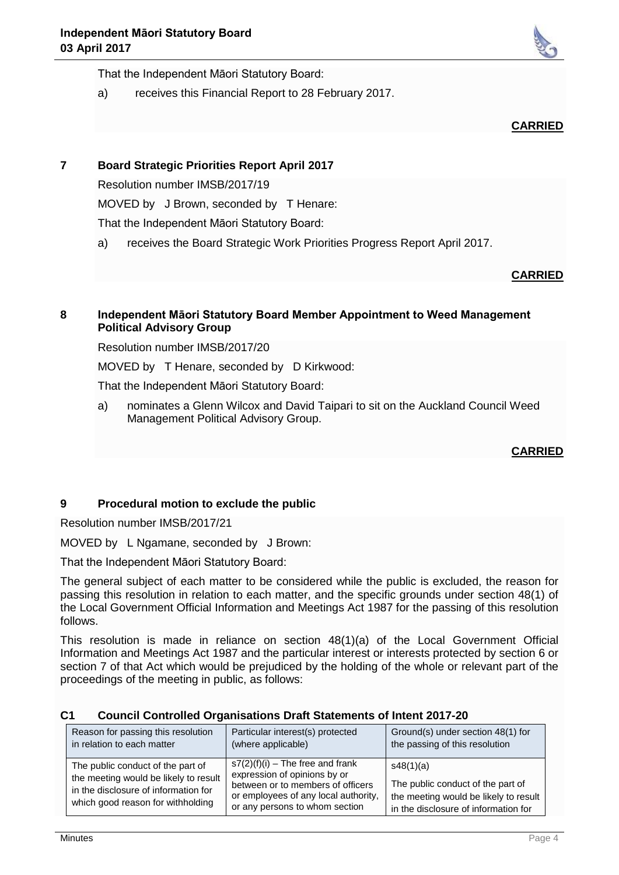That the Independent Māori Statutory Board:

a) receives this Financial Report to 28 February 2017.

## **CARRIED**

# **7 Board Strategic Priorities Report April 2017**

Resolution number IMSB/2017/19

MOVED by J Brown, seconded by T Henare:

That the Independent Māori Statutory Board:

a) receives the Board Strategic Work Priorities Progress Report April 2017.

## **CARRIED**

## **8 Independent Māori Statutory Board Member Appointment to Weed Management Political Advisory Group**

Resolution number IMSB/2017/20

MOVED by T Henare, seconded by D Kirkwood:

That the Independent Māori Statutory Board:

a) nominates a Glenn Wilcox and David Taipari to sit on the Auckland Council Weed Management Political Advisory Group.

**CARRIED**

## **9 Procedural motion to exclude the public**

Resolution number IMSB/2017/21

MOVED by L Ngamane, seconded by J Brown:

That the Independent Māori Statutory Board:

The general subject of each matter to be considered while the public is excluded, the reason for passing this resolution in relation to each matter, and the specific grounds under section 48(1) of the Local Government Official Information and Meetings Act 1987 for the passing of this resolution follows.

This resolution is made in reliance on section 48(1)(a) of the Local Government Official Information and Meetings Act 1987 and the particular interest or interests protected by section 6 or section 7 of that Act which would be prejudiced by the holding of the whole or relevant part of the proceedings of the meeting in public, as follows:

| C <sub>1</sub> | <b>Council Controlled Organisations Draft Statements of Intent 2017-20</b> |
|----------------|----------------------------------------------------------------------------|
|----------------|----------------------------------------------------------------------------|

| Reason for passing this resolution                                                                                                                      | Particular interest(s) protected                                                                                                                                                  | Ground(s) under section 48(1) for |
|---------------------------------------------------------------------------------------------------------------------------------------------------------|-----------------------------------------------------------------------------------------------------------------------------------------------------------------------------------|-----------------------------------|
| in relation to each matter                                                                                                                              | (where applicable)                                                                                                                                                                | the passing of this resolution    |
| The public conduct of the part of<br>the meeting would be likely to result<br>in the disclosure of information for<br>which good reason for withholding | $s7(2)(f)(i)$ – The free and frank<br>expression of opinions by or<br>between or to members of officers<br>or employees of any local authority,<br>or any persons to whom section |                                   |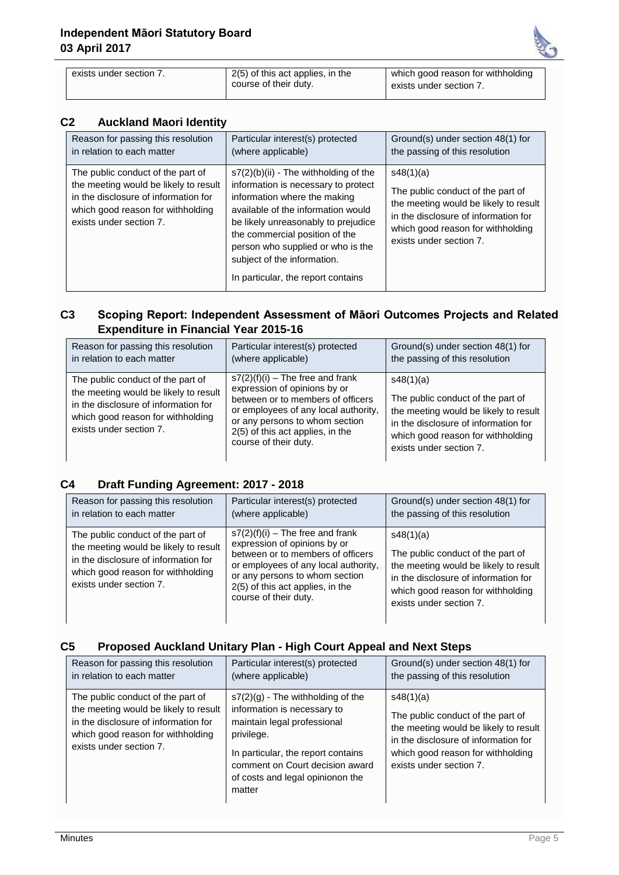exists under section 7. 2(5) of this act applies, in the



which good reason for withholding

exists under section 7.

| C <sub>2</sub> | <b>Auckland Maori Identity</b> |
|----------------|--------------------------------|
|                |                                |

| ◡▵<br>Augularia magri identity                                                                                                                                                     |                                                                                                                                                                                                                                                                                                                                         |                                                                                                                                                                                                 |
|------------------------------------------------------------------------------------------------------------------------------------------------------------------------------------|-----------------------------------------------------------------------------------------------------------------------------------------------------------------------------------------------------------------------------------------------------------------------------------------------------------------------------------------|-------------------------------------------------------------------------------------------------------------------------------------------------------------------------------------------------|
| Reason for passing this resolution<br>in relation to each matter                                                                                                                   | Particular interest(s) protected<br>(where applicable)                                                                                                                                                                                                                                                                                  | Ground(s) under section 48(1) for<br>the passing of this resolution                                                                                                                             |
| The public conduct of the part of<br>the meeting would be likely to result<br>in the disclosure of information for<br>which good reason for withholding<br>exists under section 7. | $s7(2)(b)(ii)$ - The withholding of the<br>information is necessary to protect<br>information where the making<br>available of the information would<br>be likely unreasonably to prejudice<br>the commercial position of the<br>person who supplied or who is the<br>subject of the information.<br>In particular, the report contains | s48(1)(a)<br>The public conduct of the part of<br>the meeting would be likely to result<br>in the disclosure of information for<br>which good reason for withholding<br>exists under section 7. |

course of their duty.

# **C3 Scoping Report: Independent Assessment of Māori Outcomes Projects and Related Expenditure in Financial Year 2015-16**

| Reason for passing this resolution                                                                                                                                                 | Particular interest(s) protected                                                                                                                                                                                                               | Ground(s) under section 48(1) for                                                                                                                                                               |
|------------------------------------------------------------------------------------------------------------------------------------------------------------------------------------|------------------------------------------------------------------------------------------------------------------------------------------------------------------------------------------------------------------------------------------------|-------------------------------------------------------------------------------------------------------------------------------------------------------------------------------------------------|
| in relation to each matter                                                                                                                                                         | (where applicable)                                                                                                                                                                                                                             | the passing of this resolution                                                                                                                                                                  |
| The public conduct of the part of<br>the meeting would be likely to result<br>in the disclosure of information for<br>which good reason for withholding<br>exists under section 7. | $s7(2)(f)(i)$ – The free and frank<br>expression of opinions by or<br>between or to members of officers<br>or employees of any local authority,<br>or any persons to whom section<br>2(5) of this act applies, in the<br>course of their duty. | s48(1)(a)<br>The public conduct of the part of<br>the meeting would be likely to result<br>in the disclosure of information for<br>which good reason for withholding<br>exists under section 7. |

# **C4 Draft Funding Agreement: 2017 - 2018**

| Reason for passing this resolution                                                                                                                                                 | Particular interest(s) protected                                                                                                                                                                                                               | Ground(s) under section 48(1) for                                                                                                                                                               |
|------------------------------------------------------------------------------------------------------------------------------------------------------------------------------------|------------------------------------------------------------------------------------------------------------------------------------------------------------------------------------------------------------------------------------------------|-------------------------------------------------------------------------------------------------------------------------------------------------------------------------------------------------|
| in relation to each matter                                                                                                                                                         | (where applicable)                                                                                                                                                                                                                             | the passing of this resolution                                                                                                                                                                  |
| The public conduct of the part of<br>the meeting would be likely to result<br>in the disclosure of information for<br>which good reason for withholding<br>exists under section 7. | $s7(2)(f)(i)$ – The free and frank<br>expression of opinions by or<br>between or to members of officers<br>or employees of any local authority,<br>or any persons to whom section<br>2(5) of this act applies, in the<br>course of their duty. | s48(1)(a)<br>The public conduct of the part of<br>the meeting would be likely to result<br>in the disclosure of information for<br>which good reason for withholding<br>exists under section 7. |

# **C5 Proposed Auckland Unitary Plan - High Court Appeal and Next Steps**

| Reason for passing this resolution                                                                                                                                                 | Particular interest(s) protected                                                                                                                                                                                                       | Ground(s) under section 48(1) for                                                                                                                                                               |
|------------------------------------------------------------------------------------------------------------------------------------------------------------------------------------|----------------------------------------------------------------------------------------------------------------------------------------------------------------------------------------------------------------------------------------|-------------------------------------------------------------------------------------------------------------------------------------------------------------------------------------------------|
| in relation to each matter                                                                                                                                                         | (where applicable)                                                                                                                                                                                                                     | the passing of this resolution                                                                                                                                                                  |
| The public conduct of the part of<br>the meeting would be likely to result<br>in the disclosure of information for<br>which good reason for withholding<br>exists under section 7. | $s7(2)(g)$ - The withholding of the<br>information is necessary to<br>maintain legal professional<br>privilege.<br>In particular, the report contains<br>comment on Court decision award<br>of costs and legal opinionon the<br>matter | s48(1)(a)<br>The public conduct of the part of<br>the meeting would be likely to result<br>in the disclosure of information for<br>which good reason for withholding<br>exists under section 7. |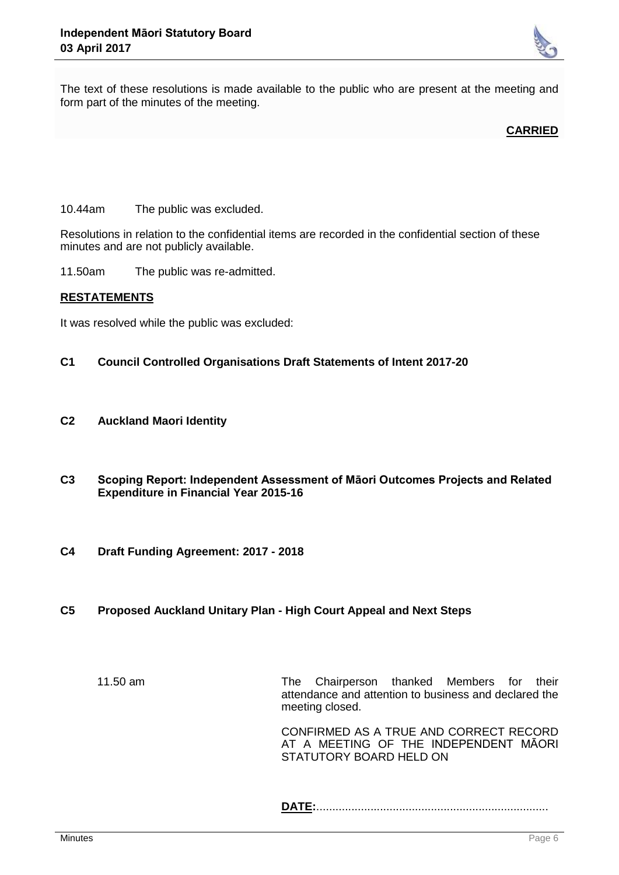

The text of these resolutions is made available to the public who are present at the meeting and form part of the minutes of the meeting.

**CARRIED**

10.44am The public was excluded.

Resolutions in relation to the confidential items are recorded in the confidential section of these minutes and are not publicly available.

11.50am The public was re-admitted.

#### **RESTATEMENTS**

It was resolved while the public was excluded:

- **C1 Council Controlled Organisations Draft Statements of Intent 2017-20**
- **C2 Auckland Maori Identity**
- **C3 Scoping Report: Independent Assessment of Māori Outcomes Projects and Related Expenditure in Financial Year 2015-16**
- **C4 Draft Funding Agreement: 2017 - 2018**
- **C5 Proposed Auckland Unitary Plan - High Court Appeal and Next Steps**

11.50 am The Chairperson thanked Members for their attendance and attention to business and declared the meeting closed.

CONFIRMED AS A TRUE AND CORRECT RECORD AT A MEETING OF THE INDEPENDENT MĀORI STATUTORY BOARD HELD ON

**DATE:**.........................................................................